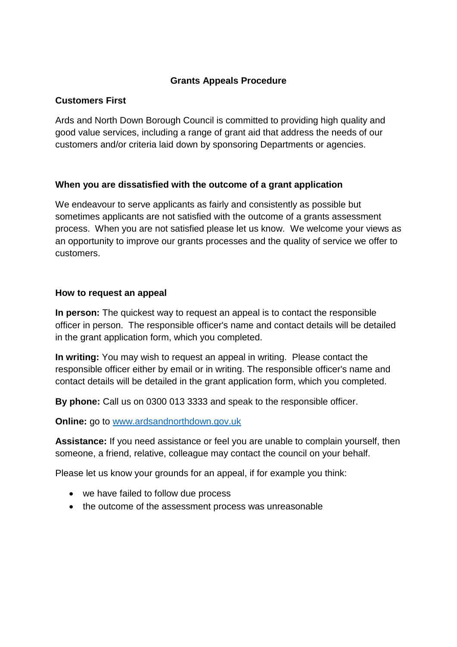### **Grants Appeals Procedure**

# **Customers First**

Ards and North Down Borough Council is committed to providing high quality and good value services, including a range of grant aid that address the needs of our customers and/or criteria laid down by sponsoring Departments or agencies.

# **When you are dissatisfied with the outcome of a grant application**

We endeavour to serve applicants as fairly and consistently as possible but sometimes applicants are not satisfied with the outcome of a grants assessment process. When you are not satisfied please let us know. We welcome your views as an opportunity to improve our grants processes and the quality of service we offer to customers.

### **How to request an appeal**

**In person:** The quickest way to request an appeal is to contact the responsible officer in person. The responsible officer's name and contact details will be detailed in the grant application form, which you completed.

**In writing:** You may wish to request an appeal in writing. Please contact the responsible officer either by email or in writing. The responsible officer's name and contact details will be detailed in the grant application form, which you completed.

**By phone:** Call us on 0300 013 3333 and speak to the responsible officer.

**Online:** go to [www.ardsandnorthdown.gov.uk](http://www.ardsandnorthdown.gov.uk/)

**Assistance:** If you need assistance or feel you are unable to complain yourself, then someone, a friend, relative, colleague may contact the council on your behalf.

Please let us know your grounds for an appeal, if for example you think:

- we have failed to follow due process
- the outcome of the assessment process was unreasonable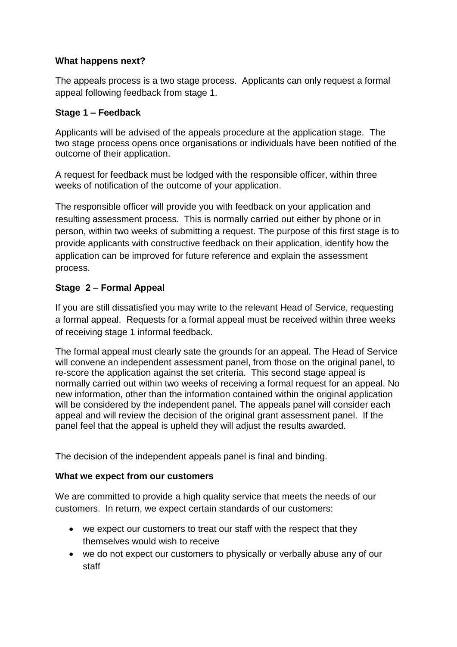### **What happens next?**

The appeals process is a two stage process. Applicants can only request a formal appeal following feedback from stage 1.

# **Stage 1 – Feedback**

Applicants will be advised of the appeals procedure at the application stage. The two stage process opens once organisations or individuals have been notified of the outcome of their application.

A request for feedback must be lodged with the responsible officer, within three weeks of notification of the outcome of your application.

The responsible officer will provide you with feedback on your application and resulting assessment process. This is normally carried out either by phone or in person, within two weeks of submitting a request. The purpose of this first stage is to provide applicants with constructive feedback on their application, identify how the application can be improved for future reference and explain the assessment process.

# **Stage 2** – **Formal Appeal**

If you are still dissatisfied you may write to the relevant Head of Service, requesting a formal appeal. Requests for a formal appeal must be received within three weeks of receiving stage 1 informal feedback.

The formal appeal must clearly sate the grounds for an appeal. The Head of Service will convene an independent assessment panel, from those on the original panel, to re-score the application against the set criteria. This second stage appeal is normally carried out within two weeks of receiving a formal request for an appeal. No new information, other than the information contained within the original application will be considered by the independent panel. The appeals panel will consider each appeal and will review the decision of the original grant assessment panel. If the panel feel that the appeal is upheld they will adjust the results awarded.

The decision of the independent appeals panel is final and binding.

### **What we expect from our customers**

We are committed to provide a high quality service that meets the needs of our customers. In return, we expect certain standards of our customers:

- we expect our customers to treat our staff with the respect that they themselves would wish to receive
- we do not expect our customers to physically or verbally abuse any of our staff